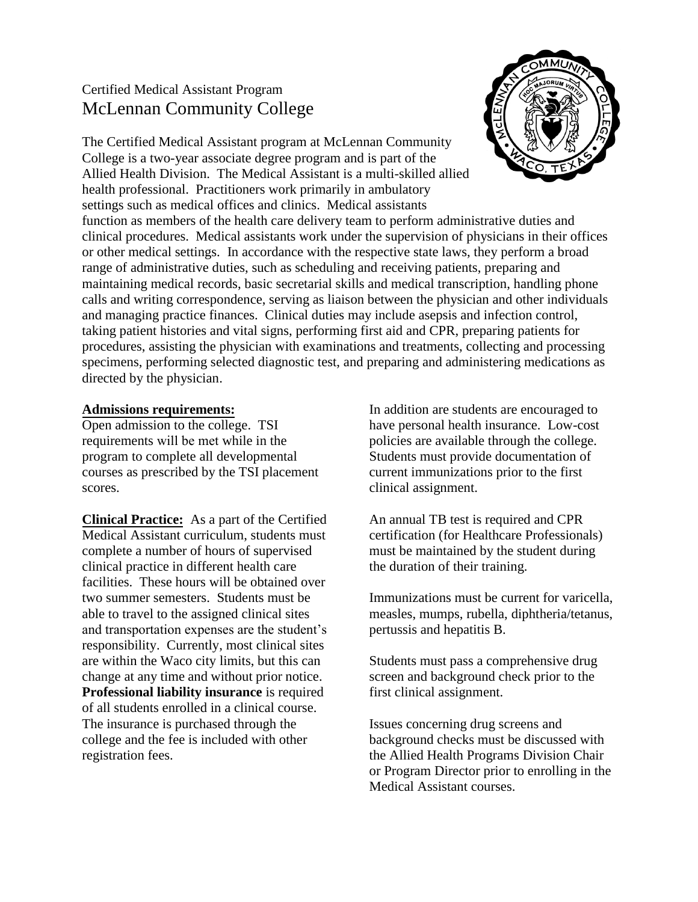# Certified Medical Assistant Program McLennan Community College



The Certified Medical Assistant program at McLennan Community College is a two-year associate degree program and is part of the Allied Health Division. The Medical Assistant is a multi-skilled allied health professional. Practitioners work primarily in ambulatory settings such as medical offices and clinics. Medical assistants

function as members of the health care delivery team to perform administrative duties and clinical procedures. Medical assistants work under the supervision of physicians in their offices or other medical settings. In accordance with the respective state laws, they perform a broad range of administrative duties, such as scheduling and receiving patients, preparing and maintaining medical records, basic secretarial skills and medical transcription, handling phone calls and writing correspondence, serving as liaison between the physician and other individuals and managing practice finances. Clinical duties may include asepsis and infection control, taking patient histories and vital signs, performing first aid and CPR, preparing patients for procedures, assisting the physician with examinations and treatments, collecting and processing specimens, performing selected diagnostic test, and preparing and administering medications as directed by the physician.

### **Admissions requirements:**

Open admission to the college. TSI requirements will be met while in the program to complete all developmental courses as prescribed by the TSI placement scores.

**Clinical Practice:** As a part of the Certified Medical Assistant curriculum, students must complete a number of hours of supervised clinical practice in different health care facilities. These hours will be obtained over two summer semesters. Students must be able to travel to the assigned clinical sites and transportation expenses are the student's responsibility. Currently, most clinical sites are within the Waco city limits, but this can change at any time and without prior notice. **Professional liability insurance** is required of all students enrolled in a clinical course. The insurance is purchased through the college and the fee is included with other registration fees.

In addition are students are encouraged to have personal health insurance. Low-cost policies are available through the college. Students must provide documentation of current immunizations prior to the first clinical assignment.

An annual TB test is required and CPR certification (for Healthcare Professionals) must be maintained by the student during the duration of their training.

Immunizations must be current for varicella, measles, mumps, rubella, diphtheria/tetanus, pertussis and hepatitis B.

Students must pass a comprehensive drug screen and background check prior to the first clinical assignment.

Issues concerning drug screens and background checks must be discussed with the Allied Health Programs Division Chair or Program Director prior to enrolling in the Medical Assistant courses.